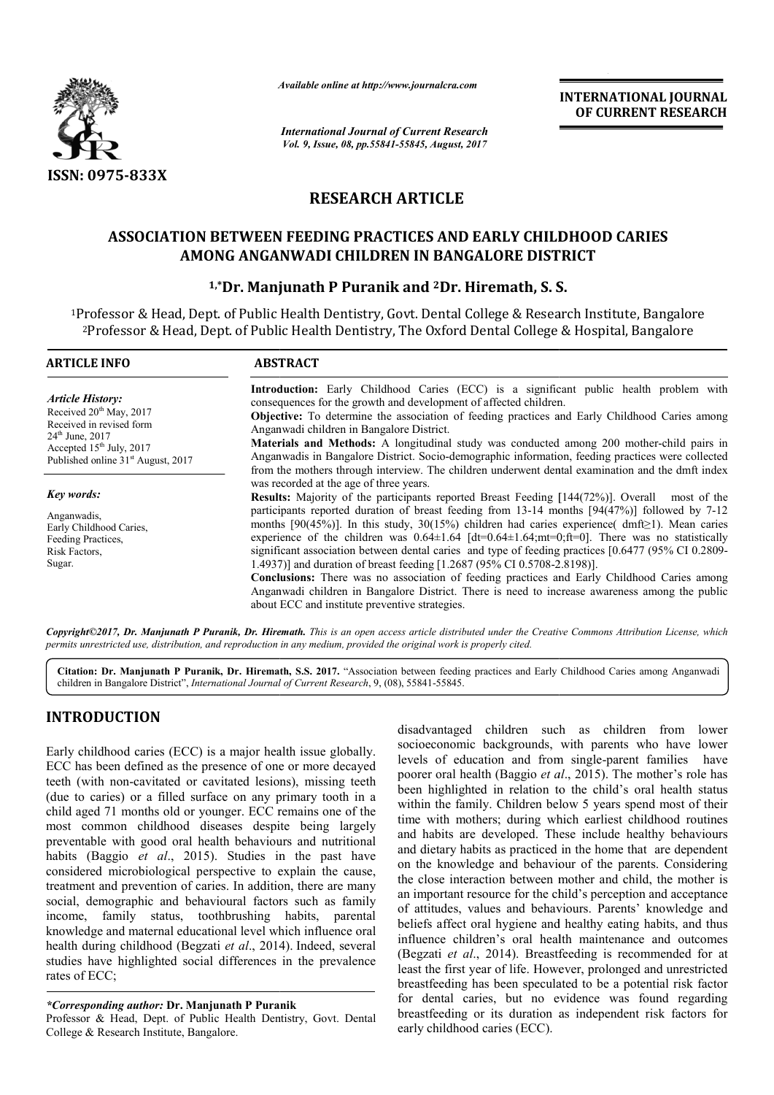

*Available online at http://www.journal http://www.journalcra.com*

*International Journal of Current Research Vol. 9, Issue, 08, pp.55841-55845, August, 2017* **INTERNATIONAL JOURNAL OF CURRENT RESEARCH** 

# **RESEARCH ARTICLE**

# ASSOCIATION BETWEEN FEEDING PRACTICES AND EARLY CHILDHOOD CARIES<br>AMONG ANGANWADI CHILDREN IN BANGALORE DISTRICT<br><sup>1,\*</sup>Dr. Manjunath P Puranik and <sup>2</sup>Dr. Hiremath, S. S. **AMONG ANGANWADI CHILDREN IN BANGALORE DISTRICT**

## **1,\*Dr. Manjunath P Puranik and Dr. 2Dr. Hiremath, S. S.**

<sup>1</sup>Professor & Head, Dept. of Public Health Dentistry, Govt. Dental College & Research Institute, Bangalore 2Professor & Head, Dept. of Public Health Dentistry, The Oxford Dental College & Hospital, Bangalore f

| <b>ARTICLE INFO</b>                                                                                           | <b>ABSTRACT</b>                                                                                                                                                                                                                                                                                                                                                                                                                                                                                                                                                                                                                                                                                                                                           |  |  |  |
|---------------------------------------------------------------------------------------------------------------|-----------------------------------------------------------------------------------------------------------------------------------------------------------------------------------------------------------------------------------------------------------------------------------------------------------------------------------------------------------------------------------------------------------------------------------------------------------------------------------------------------------------------------------------------------------------------------------------------------------------------------------------------------------------------------------------------------------------------------------------------------------|--|--|--|
| <b>Article History:</b><br>Received $20th$ May, 2017<br>Received in revised form                              | <b>Introduction:</b> Early Childhood Caries (ECC) is a significant public health problem with<br>consequences for the growth and development of affected children.<br>Objective: To determine the association of feeding practices and Early Childhood Caries among<br>Anganwadi children in Bangalore District.                                                                                                                                                                                                                                                                                                                                                                                                                                          |  |  |  |
| $24^{\text{th}}$ June, $2017$<br>Accepted $15th$ July, 2017<br>Published online 31 <sup>st</sup> August, 2017 | Materials and Methods: A longitudinal study was conducted among 200 mother-child pairs in<br>Anganwadis in Bangalore District. Socio-demographic information, feeding practices were collected<br>from the mothers through interview. The children underwent dental examination and the dmft index                                                                                                                                                                                                                                                                                                                                                                                                                                                        |  |  |  |
| Key words:                                                                                                    | was recorded at the age of three years.<br><b>Results:</b> Majority of the participants reported Breast Feeding [144(72%)]. Overall most of the                                                                                                                                                                                                                                                                                                                                                                                                                                                                                                                                                                                                           |  |  |  |
| Anganwadis,<br>Early Childhood Caries,<br>Feeding Practices.<br>Risk Factors,<br>Sugar.                       | participants reported duration of breast feeding from 13-14 months [94(47%)] followed by 7-12<br>months [90(45%)]. In this study, 30(15%) children had caries experience( dmft $\geq$ 1). Mean caries<br>experience of the children was $0.64 \pm 1.64$ [dt=0.64 $\pm 1.64$ ;mt=0;ft=0]. There was no statistically<br>significant association between dental caries and type of feeding practices [0.6477 (95% CI 0.2809-<br>1.4937)] and duration of breast feeding [1.2687 (95% CI 0.5708-2.8198)].<br>Conclusions: There was no association of feeding practices and Early Childhood Caries among<br>Anganwadi children in Bangalore District. There is need to increase awareness among the public<br>about ECC and institute preventive strategies. |  |  |  |

*Copyright©2017, Dr. Manjunath P Puranik, Dr. Hiremath Hiremath. This is an open access article distributed under the Creative Commons Att is an under Commons Attribution License, which permits unrestricted use, distribution, and reproduction in any medium, provided the original work is properly cited.*

Citation: Dr. Manjunath P Puranik, Dr. Hiremath, S.S. 2017. "Association between feeding practices and Early Childhood Caries among Anganwadi children in Bangalore District", *International Journal of Current Research* , 9, (08), 55841-55845.

## **INTRODUCTION**

Early childhood caries (ECC) is a major health issue globally. ECC has been defined as the presence of one or more decayed teeth (with non-cavitated or cavitated lesions), missing teeth (due to caries) or a filled surface on any primary tooth in a child aged 71 months old or younger. ECC remains one of the most common childhood diseases despite being largely preventable with good oral health behaviours and nutritional habits (Baggio *et al*., 2015). Studies in the past have considered microbiological perspective to explain the cause, treatment and prevention of caries. In addition, there are many social, demographic and behavioural factors such as family income, family status, toothbrushing habits, parental knowledge and maternal educational level which influence oral health during childhood (Begzati *et al*., 2014) studies have highlighted social differences in the prevalence rates of ECC; eeth (with non-cavitated or cavitated lesions), missing teeth<br>due to caries) or a filled surface on any primary tooth in a<br>hild aged 71 months old or younger. ECC remains one of the<br>nost common childhood diseases despite b

### *\*Corresponding author:* **Dr. Manjunath P Puranik**

Professor & Head, Dept. of Public Health Dentistry, Govt. Dental College & Research Institute, Bangalore.

CC) is a major health issue globally.<br>
Seconomic base to society societies of elucation and from single-parent families have<br>
the presence of one or more decayed<br>
or cavitated lesions), missing teeth<br>
or cavitated lesions socioeconomic backgrounds, with parents who have lower disadvantaged children such as children from lower<br>socioeconomic backgrounds, with parents who have lower<br>levels of education and from single-parent families have poorer oral health (Baggio *et al* ., 2015). The mother's role has been highlighted in relation to the child's oral health status within the family. Children below 5 years spend most of their time with mothers; during which earliest childhood routines and habits are developed. These include healthy behaviours been highlighted in relation to the child's oral health status within the family. Children below 5 years spend most of their time with mothers; during which earliest childhood routines and habits are developed. These inclu on the knowledge and behaviour of the parents. Considering the close interaction between mother and child, the mother is an important resource for the child's perception and acceptance of attitudes, values and behaviours. Parents' knowledge and beliefs affect oral hygiene and healthy eating habits, and thus influence children's oral health maintenance and outcomes (Begzati *et al*., 2014). Breastfeeding is recommended for at least the first year of life. However, prolonged and unrestricted breastfeeding has been speculated to be a potenti for dental caries, but no evidence was found regarding breastfeeding or its duration as independent risk factors for early childhood caries (ECC). e children's oral health maintenance and outcomes *et al.*, 2014). Breastfeeding is recommended for at first year of life. However, prolonged and unrestricted ding has been speculated to be a potential risk factor **INTERNATIONAL JOURNAL**<br> **INTERNATIONAL JOURNAL**<br> **IDENTIFY (ACT)**<br> **IDENTIFY (ACT)**<br> **IDENTIFY (ACT)**<br> **IDENTIFY (ACT)**<br> **IDENTIFY (ACT)**<br> **IDENTIFY (ACT)**<br> **IDENTIFY (ACT)**<br> **IDENTIFY (ACT)**<br> **IDENTIFY (ACT)**<br> **IDENTIFY**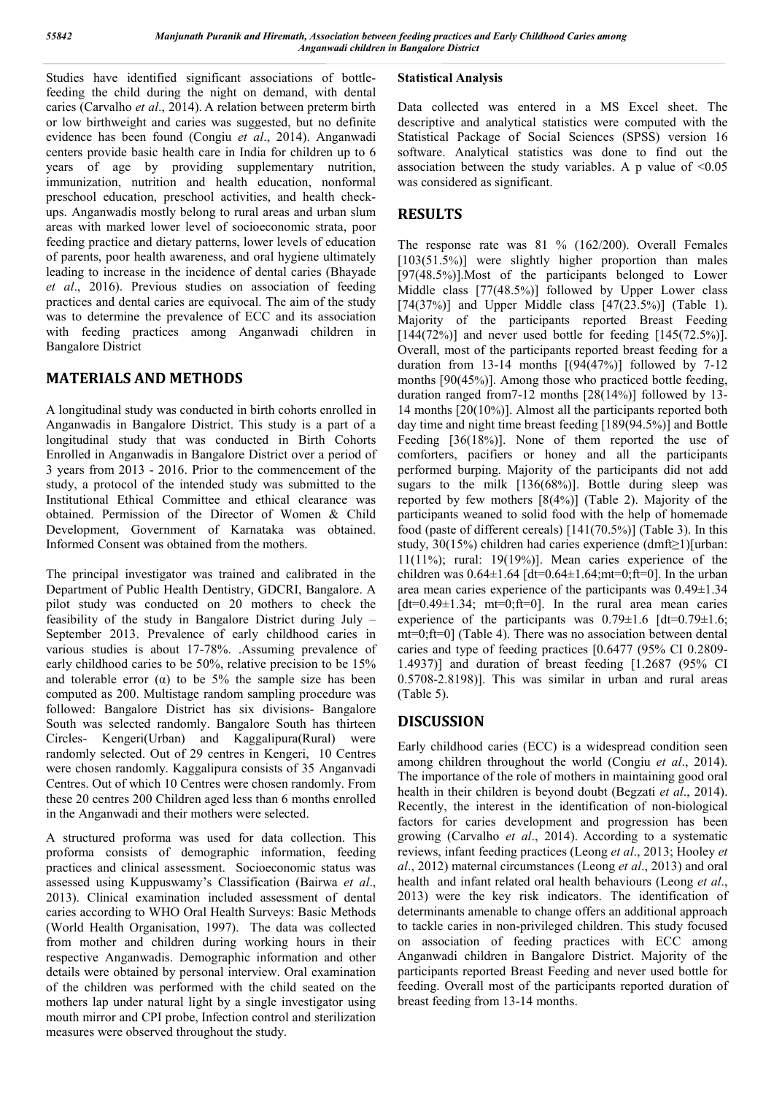Studies have identified significant associations of bottlefeeding the child during the night on demand, with dental caries (Carvalho *et al*., 2014). A relation between preterm birth or low birthweight and caries was suggested, but no definite evidence has been found (Congiu *et al*., 2014). Anganwadi centers provide basic health care in India for children up to 6 years of age by providing supplementary nutrition, immunization, nutrition and health education, nonformal preschool education, preschool activities, and health checkups. Anganwadis mostly belong to rural areas and urban slum areas with marked lower level of socioeconomic strata, poor feeding practice and dietary patterns, lower levels of education of parents, poor health awareness, and oral hygiene ultimately leading to increase in the incidence of dental caries (Bhayade *et al*., 2016). Previous studies on association of feeding practices and dental caries are equivocal. The aim of the study was to determine the prevalence of ECC and its association with feeding practices among Anganwadi children in Bangalore District

## **MATERIALS AND METHODS**

A longitudinal study was conducted in birth cohorts enrolled in Anganwadis in Bangalore District. This study is a part of a longitudinal study that was conducted in Birth Cohorts Enrolled in Anganwadis in Bangalore District over a period of 3 years from 2013 - 2016. Prior to the commencement of the study, a protocol of the intended study was submitted to the Institutional Ethical Committee and ethical clearance was obtained. Permission of the Director of Women & Child Development, Government of Karnataka was obtained. Informed Consent was obtained from the mothers.

The principal investigator was trained and calibrated in the Department of Public Health Dentistry, GDCRI, Bangalore. A pilot study was conducted on 20 mothers to check the feasibility of the study in Bangalore District during July – September 2013. Prevalence of early childhood caries in various studies is about 17-78%. .Assuming prevalence of early childhood caries to be 50%, relative precision to be 15% and tolerable error ( $\alpha$ ) to be 5% the sample size has been computed as 200. Multistage random sampling procedure was followed: Bangalore District has six divisions- Bangalore South was selected randomly. Bangalore South has thirteen Circles- Kengeri(Urban) and Kaggalipura(Rural) were randomly selected. Out of 29 centres in Kengeri, 10 Centres were chosen randomly. Kaggalipura consists of 35 Anganvadi Centres. Out of which 10 Centres were chosen randomly. From these 20 centres 200 Children aged less than 6 months enrolled in the Anganwadi and their mothers were selected.

A structured proforma was used for data collection. This proforma consists of demographic information, feeding practices and clinical assessment. Socioeconomic status was assessed using Kuppuswamy's Classification (Bairwa *et al*., 2013). Clinical examination included assessment of dental caries according to WHO Oral Health Surveys: Basic Methods (World Health Organisation, 1997). The data was collected from mother and children during working hours in their respective Anganwadis. Demographic information and other details were obtained by personal interview. Oral examination of the children was performed with the child seated on the mothers lap under natural light by a single investigator using mouth mirror and CPI probe, Infection control and sterilization measures were observed throughout the study.

## **Statistical Analysis**

Data collected was entered in a MS Excel sheet. The descriptive and analytical statistics were computed with the Statistical Package of Social Sciences (SPSS) version 16 software. Analytical statistics was done to find out the association between the study variables. A p value of  $\leq 0.05$ was considered as significant.

## **RESULTS**

The response rate was 81 % (162/200). Overall Females [103(51.5%)] were slightly higher proportion than males [97(48.5%)].Most of the participants belonged to Lower Middle class [77(48.5%)] followed by Upper Lower class [74(37%)] and Upper Middle class  $[47(23.5\%)]$  (Table 1). Majority of the participants reported Breast Feeding  $[144(72%)]$  and never used bottle for feeding  $[145(72.5%)]$ . Overall, most of the participants reported breast feeding for a duration from 13-14 months  $[(94(47%)]$  followed by 7-12 months [90(45%)]. Among those who practiced bottle feeding, duration ranged from7-12 months [28(14%)] followed by 13- 14 months [20(10%)]. Almost all the participants reported both day time and night time breast feeding [189(94.5%)] and Bottle Feeding [36(18%)]. None of them reported the use of comforters, pacifiers or honey and all the participants performed burping. Majority of the participants did not add sugars to the milk [136(68%)]. Bottle during sleep was reported by few mothers [8(4%)] (Table 2). Majority of the participants weaned to solid food with the help of homemade food (paste of different cereals) [141(70.5%)] (Table 3). In this study, 30(15%) children had caries experience (dmft≥1)[urban: 11(11%); rural: 19(19%)]. Mean caries experience of the children was  $0.64 \pm 1.64$  [dt=0.64 $\pm 1.64$ ;mt=0;ft=0]. In the urban area mean caries experience of the participants was 0.49±1.34 [dt=0.49 $\pm$ 1.34; mt=0;ft=0]. In the rural area mean caries experience of the participants was  $0.79 \pm 1.6$  [dt=0.79 $\pm 1.6$ ; mt=0;ft=0] (Table 4). There was no association between dental caries and type of feeding practices [0.6477 (95% CI 0.2809- 1.4937)] and duration of breast feeding [1.2687 (95% CI 0.5708-2.8198)]. This was similar in urban and rural areas (Table 5).

## **DISCUSSION**

Early childhood caries (ECC) is a widespread condition seen among children throughout the world (Congiu *et al*., 2014). The importance of the role of mothers in maintaining good oral health in their children is beyond doubt (Begzati *et al*., 2014). Recently, the interest in the identification of non-biological factors for caries development and progression has been growing (Carvalho *et al*., 2014). According to a systematic reviews, infant feeding practices (Leong *et al*., 2013; Hooley *et al*., 2012) maternal circumstances (Leong *et al*., 2013) and oral health and infant related oral health behaviours (Leong *et al*., 2013) were the key risk indicators. The identification of determinants amenable to change offers an additional approach to tackle caries in non-privileged children. This study focused on association of feeding practices with ECC among Anganwadi children in Bangalore District. Majority of the participants reported Breast Feeding and never used bottle for feeding. Overall most of the participants reported duration of breast feeding from 13-14 months.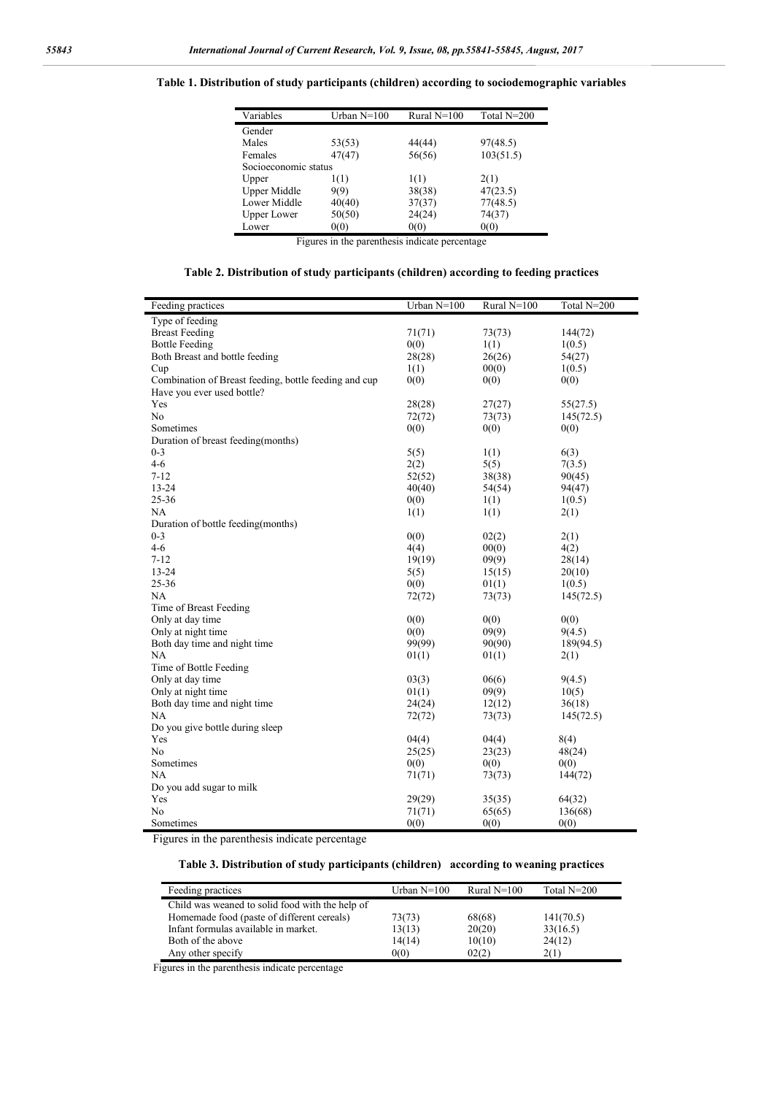#### **Table 1. Distribution of study participants (children) according to sociodemographic variables**

| Variables            | Urban $N=100$ | Rural $N=100$ | Total N=200 |
|----------------------|---------------|---------------|-------------|
| Gender               |               |               |             |
| Males                | 53(53)        | 44(44)        | 97(48.5)    |
| Females              | 47(47)        | 56(56)        | 103(51.5)   |
| Socioeconomic status |               |               |             |
| Upper                | 1(1)          | 1(1)          | 2(1)        |
| <b>Upper Middle</b>  | 9(9)          | 38(38)        | 47(23.5)    |
| Lower Middle         | 40(40)        | 37(37)        | 77(48.5)    |
| <b>Upper Lower</b>   | 50(50)        | 24(24)        | 74(37)      |
| Lower                | 0(0)          | 0(0)          | 0(0)        |

Figures in the parenthesis indicate percentage

| Table 2. Distribution of study participants (children) according to feeding practices |  |  |
|---------------------------------------------------------------------------------------|--|--|
|                                                                                       |  |  |

| Feeding practices                                     | Urban $N=100$ | Rural N=100 | Total N=200 |
|-------------------------------------------------------|---------------|-------------|-------------|
| Type of feeding                                       |               |             |             |
| <b>Breast Feeding</b>                                 | 71(71)        | 73(73)      | 144(72)     |
| <b>Bottle Feeding</b>                                 | 0(0)          | 1(1)        | 1(0.5)      |
| Both Breast and bottle feeding                        | 28(28)        | 26(26)      | 54(27)      |
| Cup                                                   | 1(1)          | 00(0)       | 1(0.5)      |
| Combination of Breast feeding, bottle feeding and cup | 0(0)          | 0(0)        | 0(0)        |
| Have you ever used bottle?                            |               |             |             |
| Yes                                                   | 28(28)        | 27(27)      | 55(27.5)    |
| No                                                    | 72(72)        | 73(73)      | 145(72.5)   |
| Sometimes                                             | 0(0)          | 0(0)        | 0(0)        |
| Duration of breast feeding(months)                    |               |             |             |
| $0 - 3$                                               | 5(5)          | 1(1)        | 6(3)        |
| $4 - 6$                                               | 2(2)          | 5(5)        | 7(3.5)      |
| $7 - 12$                                              | 52(52)        | 38(38)      | 90(45)      |
| $13 - 24$                                             | 40(40)        | 54(54)      | 94(47)      |
| 25-36                                                 | 0(0)          | 1(1)        | 1(0.5)      |
| NA                                                    | 1(1)          | 1(1)        | 2(1)        |
| Duration of bottle feeding (months)                   |               |             |             |
| $0 - 3$                                               | 0(0)          | 02(2)       | 2(1)        |
| $4 - 6$                                               | 4(4)          | 00(0)       | 4(2)        |
| $7 - 12$                                              | 19(19)        | 09(9)       | 28(14)      |
| 13-24                                                 | 5(5)          | 15(15)      | 20(10)      |
| 25-36                                                 | 0(0)          | 01(1)       | 1(0.5)      |
| NA                                                    | 72(72)        | 73(73)      | 145(72.5)   |
| Time of Breast Feeding                                |               |             |             |
| Only at day time                                      | 0(0)          | 0(0)        | 0(0)        |
| Only at night time                                    | 0(0)          | 09(9)       | 9(4.5)      |
| Both day time and night time                          | 99(99)        | 90(90)      | 189(94.5)   |
| NA                                                    | 01(1)         | 01(1)       | 2(1)        |
| Time of Bottle Feeding                                |               |             |             |
| Only at day time                                      | 03(3)         | 06(6)       | 9(4.5)      |
| Only at night time                                    | 01(1)         | 09(9)       | 10(5)       |
| Both day time and night time                          | 24(24)        | 12(12)      | 36(18)      |
| NA                                                    | 72(72)        | 73(73)      | 145(72.5)   |
| Do you give bottle during sleep                       |               |             |             |
| Yes                                                   | 04(4)         | 04(4)       | 8(4)        |
| N <sub>0</sub>                                        | 25(25)        | 23(23)      | 48(24)      |
| Sometimes                                             | 0(0)          | 0(0)        | 0(0)        |
| NA                                                    | 71(71)        | 73(73)      | 144(72)     |
| Do you add sugar to milk                              |               |             |             |
| Yes                                                   | 29(29)        | 35(35)      | 64(32)      |
| N <sub>0</sub>                                        | 71(71)        | 65(65)      | 136(68)     |
| Sometimes                                             | 0(0)          | 0(0)        | 0(0)        |
|                                                       |               |             |             |

Figures in the parenthesis indicate percentage

**Table 3. Distribution of study participants (children) according to weaning practices**

| Feeding practices                               | Urban $N=100$ | Rural $N=100$ | Total N=200 |
|-------------------------------------------------|---------------|---------------|-------------|
| Child was weaned to solid food with the help of |               |               |             |
| Homemade food (paste of different cereals)      | 73(73)        | 68(68)        | 141(70.5)   |
| Infant formulas available in market.            | 13(13)        | 20(20)        | 33(16.5)    |
| Both of the above                               | 14(14)        | 10(10)        | 24(12)      |
| Any other specify                               | 0(0)          | 02(2)         | 2(1)        |

Figures in the parenthesis indicate percentage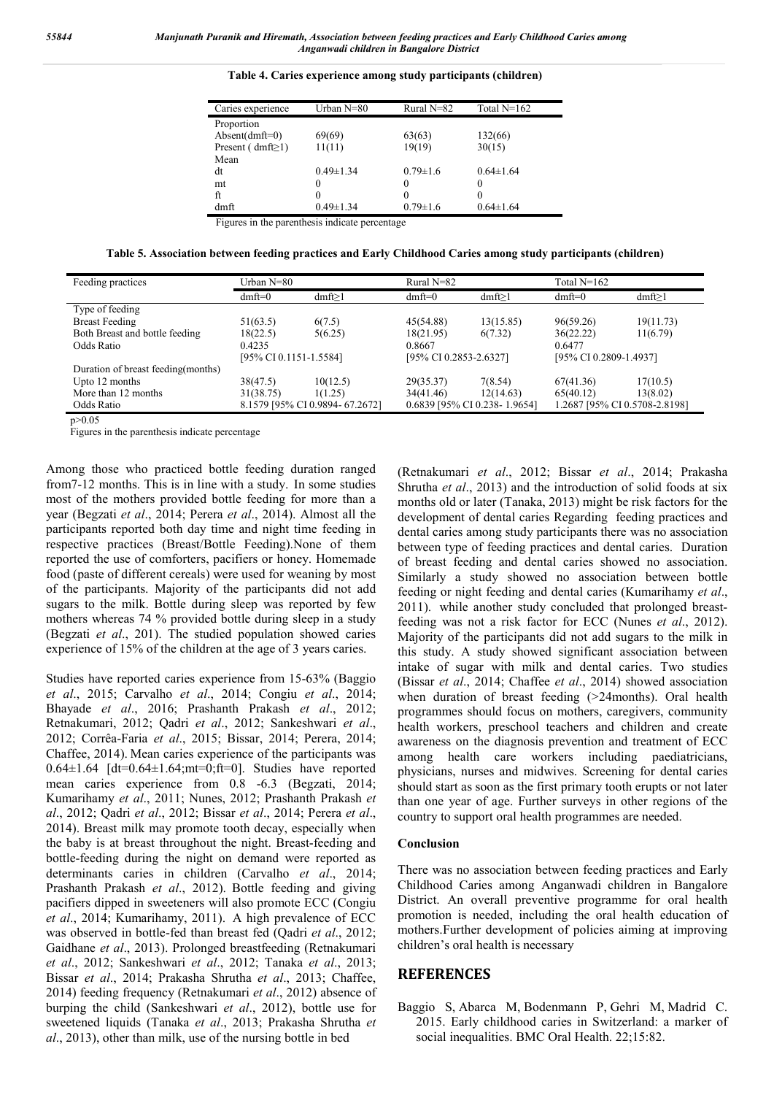| Caries experience        | Urban N=80      | Rural $N=82$   | Total $N=162$   |
|--------------------------|-----------------|----------------|-----------------|
| Proportion               |                 |                |                 |
| $Absent(dmft=0)$         | 69(69)          | 63(63)         | 132(66)         |
| Present ( $dmft \ge 1$ ) | 11(11)          | 19(19)         | 30(15)          |
| Mean                     |                 |                |                 |
| dt                       | $0.49 \pm 1.34$ | $0.79 \pm 1.6$ | $0.64 \pm 1.64$ |
| mt                       | $\theta$        | $\theta$       | $\theta$        |
| ft                       | $\Omega$        | $\theta$       | $\theta$        |
| dmft                     | $0.49 \pm 1.34$ | $0.79 \pm 1.6$ | $0.64 \pm 1.64$ |

**Table 4. Caries experience among study participants (children)**

Figures in the parenthesis indicate percentage

**Table 5. Association between feeding practices and Early Childhood Caries among study participants (children)**

| Feeding practices                   | Urban N=80 |                                 | Rural N=82 |                              | Total $N=162$ |                               |  |
|-------------------------------------|------------|---------------------------------|------------|------------------------------|---------------|-------------------------------|--|
|                                     | $dmft=0$   | $dmft \ge 1$                    | $dmft=0$   | $dmft \ge 1$                 | $dmft=0$      | dmft $\geq$ 1                 |  |
| Type of feeding                     |            |                                 |            |                              |               |                               |  |
| <b>Breast Feeding</b>               | 51(63.5)   | 6(7.5)                          | 45(54.88)  | 13(15.85)                    | 96(59.26)     | 19(11.73)                     |  |
| Both Breast and bottle feeding      | 18(22.5)   | 5(6.25)                         | 18(21.95)  | 6(7.32)                      | 36(22.22)     | 11(6.79)                      |  |
| Odds Ratio                          | 0.4235     |                                 | 0.8667     |                              | 0.6477        |                               |  |
|                                     |            | [95% CI 0.1151-1.5584]          |            | [95% CI 0.2853-2.6327]       |               | [95% CI 0.2809-1.4937]        |  |
| Duration of breast feeding (months) |            |                                 |            |                              |               |                               |  |
| Upto 12 months                      | 38(47.5)   | 10(12.5)                        | 29(35.37)  | 7(8.54)                      | 67(41.36)     | 17(10.5)                      |  |
| More than 12 months                 | 31(38.75)  | 1(1.25)                         | 34(41.46)  | 12(14.63)                    | 65(40.12)     | 13(8.02)                      |  |
| Odds Ratio                          |            | 8.1579 [95% CI 0.9894- 67.2672] |            | 0.6839 [95% CI 0.238-1.9654] |               | 1.2687 [95% CI 0.5708-2.8198] |  |

 $n>0.05$ 

Figures in the parenthesis indicate percentage

Among those who practiced bottle feeding duration ranged from7-12 months. This is in line with a study. In some studies most of the mothers provided bottle feeding for more than a year (Begzati *et al*., 2014; Perera *et al*., 2014). Almost all the participants reported both day time and night time feeding in respective practices (Breast/Bottle Feeding).None of them reported the use of comforters, pacifiers or honey. Homemade food (paste of different cereals) were used for weaning by most of the participants. Majority of the participants did not add sugars to the milk. Bottle during sleep was reported by few mothers whereas 74 % provided bottle during sleep in a study (Begzati *et al*., 201). The studied population showed caries experience of 15% of the children at the age of 3 years caries.

Studies have reported caries experience from 15-63% (Baggio *et al*., 2015; Carvalho *et al*., 2014; Congiu *et al*., 2014; Bhayade *et al*., 2016; Prashanth Prakash *et al*., 2012; Retnakumari, 2012; Qadri *et al*., 2012; Sankeshwari *et al*., 2012; Corrêa-Faria *et al*., 2015; Bissar, 2014; Perera, 2014; Chaffee, 2014). Mean caries experience of the participants was  $0.64 \pm 1.64$  [dt=0.64 $\pm 1.64$ ; mt=0; ft=0]. Studies have reported mean caries experience from 0.8 -6.3 (Begzati, 2014; Kumarihamy *et al*., 2011; Nunes, 2012; Prashanth Prakash *et al*., 2012; Qadri *et al*., 2012; Bissar *et al*., 2014; Perera *et al*., 2014). Breast milk may promote tooth decay, especially when the baby is at breast throughout the night. Breast-feeding and bottle-feeding during the night on demand were reported as determinants caries in children (Carvalho *et al*., 2014; Prashanth Prakash *et al*., 2012). Bottle feeding and giving pacifiers dipped in sweeteners will also promote ECC (Congiu *et al*., 2014; Kumarihamy, 2011). A high prevalence of ECC was observed in bottle-fed than breast fed (Qadri *et al*., 2012; Gaidhane *et al*., 2013). Prolonged breastfeeding (Retnakumari *et al*., 2012; Sankeshwari *et al*., 2012; Tanaka *et al*., 2013; Bissar *et al*., 2014; Prakasha Shrutha *et al*., 2013; Chaffee, 2014) feeding frequency (Retnakumari *et al*., 2012) absence of burping the child (Sankeshwari *et al*., 2012), bottle use for sweetened liquids (Tanaka *et al*., 2013; Prakasha Shrutha *et al*., 2013), other than milk, use of the nursing bottle in bed

(Retnakumari *et al*., 2012; Bissar *et al*., 2014; Prakasha Shrutha *et al*., 2013) and the introduction of solid foods at six months old or later (Tanaka, 2013) might be risk factors for the development of dental caries Regarding feeding practices and dental caries among study participants there was no association between type of feeding practices and dental caries. Duration of breast feeding and dental caries showed no association. Similarly a study showed no association between bottle feeding or night feeding and dental caries (Kumarihamy *et al*., 2011). while another study concluded that prolonged breastfeeding was not a risk factor for ECC (Nunes *et al*., 2012). Majority of the participants did not add sugars to the milk in this study. A study showed significant association between intake of sugar with milk and dental caries. Two studies (Bissar *et al*., 2014; Chaffee *et al*., 2014) showed association when duration of breast feeding (>24months). Oral health programmes should focus on mothers, caregivers, community health workers, preschool teachers and children and create awareness on the diagnosis prevention and treatment of ECC among health care workers including paediatricians, physicians, nurses and midwives. Screening for dental caries should start as soon as the first primary tooth erupts or not later than one year of age. Further surveys in other regions of the country to support oral health programmes are needed.

#### **Conclusion**

There was no association between feeding practices and Early Childhood Caries among Anganwadi children in Bangalore District. An overall preventive programme for oral health promotion is needed, including the oral health education of mothers.Further development of policies aiming at improving children's oral health is necessary

#### **REFERENCES**

Baggio S, Abarca M, Bodenmann P, Gehri M, Madrid C. 2015. Early childhood caries in Switzerland: a marker of social inequalities. BMC Oral Health. 22;15:82.